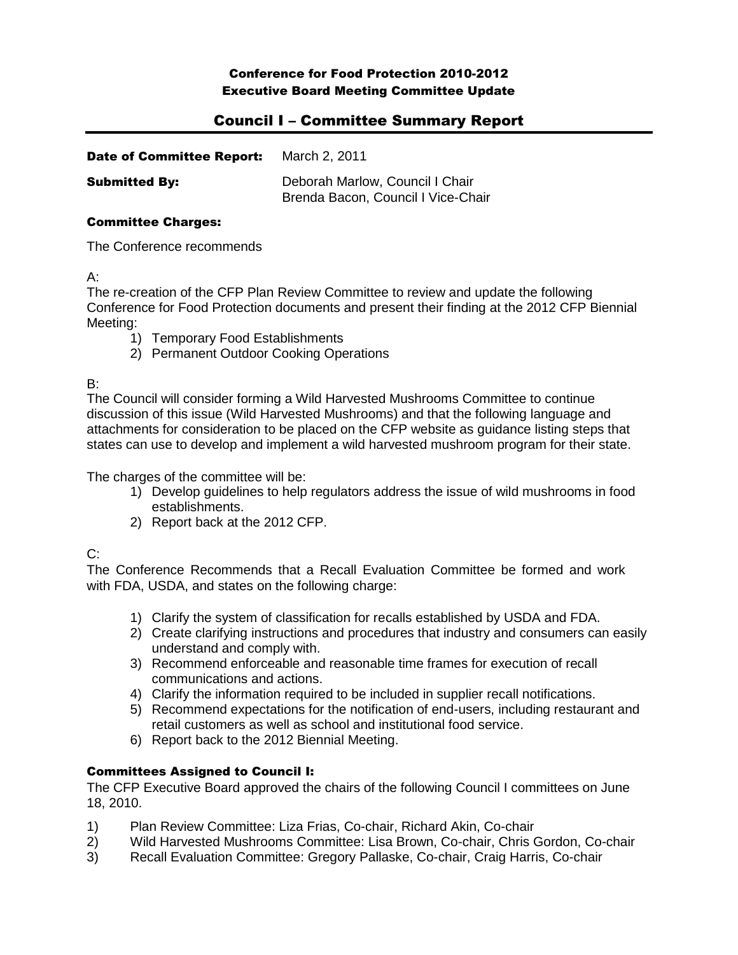### Conference for Food Protection 2010-2012 Executive Board Meeting Committee Update

# Council I – Committee Summary Report

| <b>Date of Committee Report:</b> | March 2, 2011                                                         |
|----------------------------------|-----------------------------------------------------------------------|
| <b>Submitted By:</b>             | Deborah Marlow, Council I Chair<br>Brenda Bacon, Council I Vice-Chair |

### Committee Charges:

The Conference recommends

A:

The re-creation of the CFP Plan Review Committee to review and update the following Conference for Food Protection documents and present their finding at the 2012 CFP Biennial Meeting:

- 1) Temporary Food Establishments
- 2) Permanent Outdoor Cooking Operations

B:

The Council will consider forming a Wild Harvested Mushrooms Committee to continue discussion of this issue (Wild Harvested Mushrooms) and that the following language and attachments for consideration to be placed on the CFP website as guidance listing steps that states can use to develop and implement a wild harvested mushroom program for their state.

The charges of the committee will be:

- 1) Develop guidelines to help regulators address the issue of wild mushrooms in food establishments.
- 2) Report back at the 2012 CFP.

 $C:$ 

The Conference Recommends that a Recall Evaluation Committee be formed and work with FDA, USDA, and states on the following charge:

- 1) Clarify the system of classification for recalls established by USDA and FDA.
- 2) Create clarifying instructions and procedures that industry and consumers can easily understand and comply with.
- 3) Recommend enforceable and reasonable time frames for execution of recall communications and actions.
- 4) Clarify the information required to be included in supplier recall notifications.
- 5) Recommend expectations for the notification of end-users, including restaurant and retail customers as well as school and institutional food service.
- 6) Report back to the 2012 Biennial Meeting.

## Committees Assigned to Council I:

The CFP Executive Board approved the chairs of the following Council I committees on June 18, 2010.

- 1) Plan Review Committee: Liza Frias, Co-chair, Richard Akin, Co-chair
- 2) Wild Harvested Mushrooms Committee: Lisa Brown, Co-chair, Chris Gordon, Co-chair
- 3) Recall Evaluation Committee: Gregory Pallaske, Co-chair, Craig Harris, Co-chair